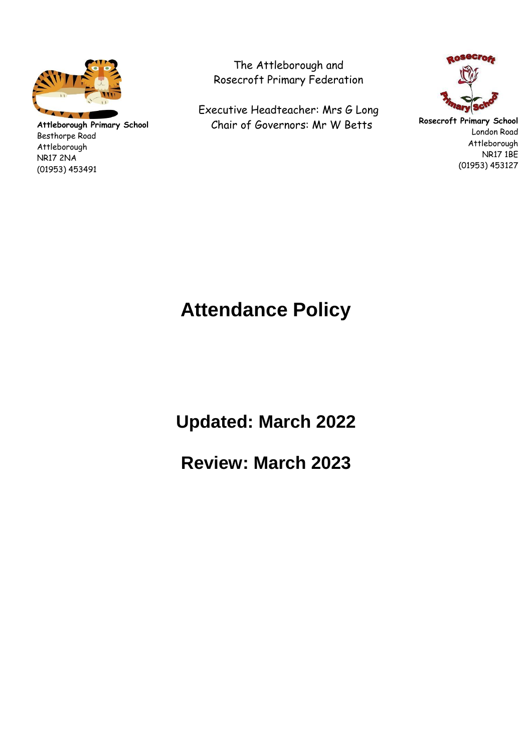

**Attleborough Primary School** Besthorpe Road Attleborough NR17 2NA (01953) 453491

The Attleborough and Rosecroft Primary Federation

Executive Headteacher: Mrs G Long Chair of Governors: Mr W Betts



**Rosecroft Primary School** London Road Attleborough NR17 1BE (01953) 453127

# **Attendance Policy**

**Updated: March 2022** 

**Review: March 2023**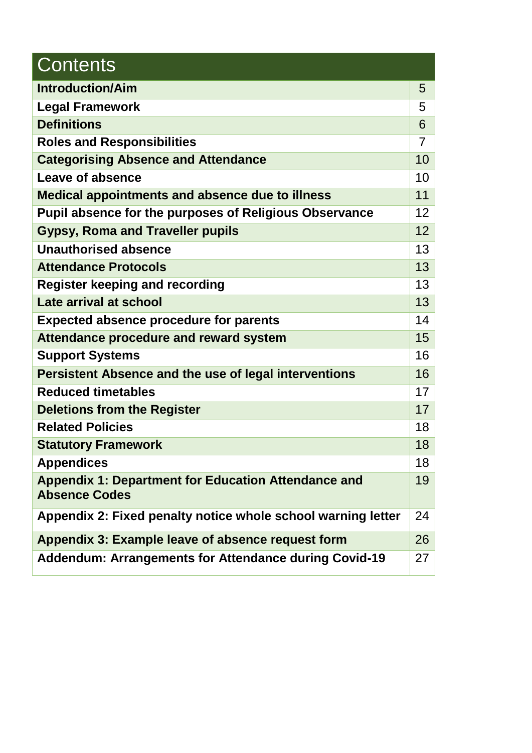| <b>Contents</b>                                               |    |
|---------------------------------------------------------------|----|
| <b>Introduction/Aim</b>                                       | 5  |
| <b>Legal Framework</b>                                        | 5  |
| <b>Definitions</b>                                            | 6  |
| <b>Roles and Responsibilities</b>                             | 7  |
| <b>Categorising Absence and Attendance</b>                    | 10 |
| Leave of absence                                              | 10 |
| <b>Medical appointments and absence due to illness</b>        | 11 |
| <b>Pupil absence for the purposes of Religious Observance</b> | 12 |
| <b>Gypsy, Roma and Traveller pupils</b>                       | 12 |
| <b>Unauthorised absence</b>                                   | 13 |
| <b>Attendance Protocols</b>                                   | 13 |
| <b>Register keeping and recording</b>                         | 13 |
| Late arrival at school                                        | 13 |
| <b>Expected absence procedure for parents</b>                 | 14 |
| <b>Attendance procedure and reward system</b>                 | 15 |
| <b>Support Systems</b>                                        | 16 |
| <b>Persistent Absence and the use of legal interventions</b>  | 16 |
| <b>Reduced timetables</b>                                     | 17 |
| <b>Deletions from the Register</b>                            | 17 |
| <b>Related Policies</b>                                       | 18 |
| <b>Statutory Framework</b>                                    | 18 |
| <b>Appendices</b>                                             | 18 |
| <b>Appendix 1: Department for Education Attendance and</b>    | 19 |
| <b>Absence Codes</b>                                          |    |
| Appendix 2: Fixed penalty notice whole school warning letter  | 24 |
| Appendix 3: Example leave of absence request form             | 26 |
| <b>Addendum: Arrangements for Attendance during Covid-19</b>  | 27 |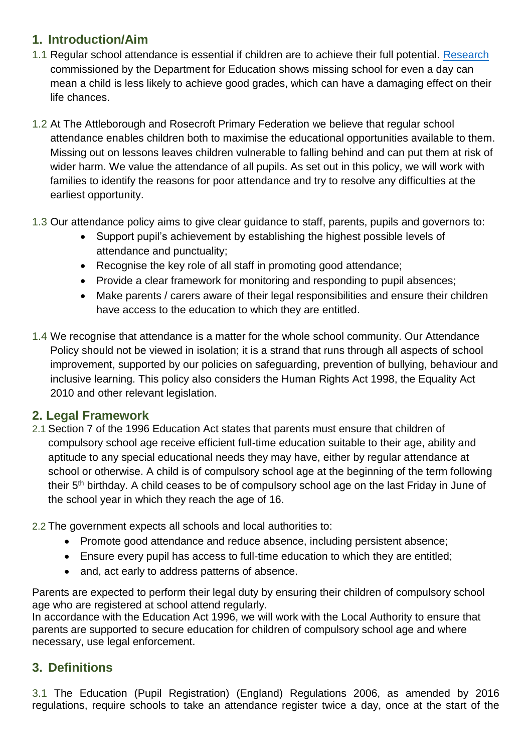### **1. Introduction/Aim**

- 1.1 Regular school attendance is essential if children are to achieve their full potential. [Research](https://www.gov.uk/government/publications/absence-and-attainment-at-key-stages-2-and-4-2013-to-2014) commissioned by the Department for Education shows missing school for even a day can mean a child is less likely to achieve good grades, which can have a damaging effect on their life chances.
- 1.2 At The Attleborough and Rosecroft Primary Federation we believe that regular school attendance enables children both to maximise the educational opportunities available to them. Missing out on lessons leaves children vulnerable to falling behind and can put them at risk of wider harm. We value the attendance of all pupils. As set out in this policy, we will work with families to identify the reasons for poor attendance and try to resolve any difficulties at the earliest opportunity.
- 1.3 Our attendance policy aims to give clear guidance to staff, parents, pupils and governors to:
	- Support pupil's achievement by establishing the highest possible levels of attendance and punctuality;
	- Recognise the key role of all staff in promoting good attendance;
	- Provide a clear framework for monitoring and responding to pupil absences;
	- Make parents / carers aware of their legal responsibilities and ensure their children have access to the education to which they are entitled.
- 1.4 We recognise that attendance is a matter for the whole school community. Our Attendance Policy should not be viewed in isolation; it is a strand that runs through all aspects of school improvement, supported by our policies on safeguarding, prevention of bullying, behaviour and inclusive learning. This policy also considers the Human Rights Act 1998, the Equality Act 2010 and other relevant legislation.

### **2. Legal Framework**

2.1 Section 7 of the 1996 Education Act states that parents must ensure that children of compulsory school age receive efficient full-time education suitable to their age, ability and aptitude to any special educational needs they may have, either by regular attendance at school or otherwise. A child is of compulsory school age at the beginning of the term following their 5th birthday. A child ceases to be of compulsory school age on the last Friday in June of the school year in which they reach the age of 16.

2.2 The government expects all schools and local authorities to:

- Promote good attendance and reduce absence, including persistent absence;
- Ensure every pupil has access to full-time education to which they are entitled;
- and, act early to address patterns of absence.

Parents are expected to perform their legal duty by ensuring their children of compulsory school age who are registered at school attend regularly.

In accordance with the Education Act 1996, we will work with the Local Authority to ensure that parents are supported to secure education for children of compulsory school age and where necessary, use legal enforcement.

### **3. Definitions**

3.1 The Education (Pupil Registration) (England) Regulations 2006, as amended by 2016 regulations, require schools to take an attendance register twice a day, once at the start of the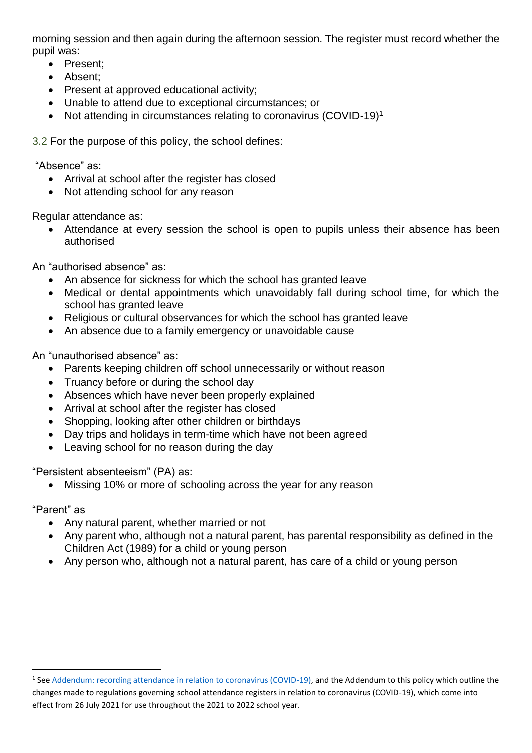morning session and then again during the afternoon session. The register must record whether the pupil was:

- Present:
- Absent:
- Present at approved educational activity;
- Unable to attend due to exceptional circumstances; or
- Not attending in circumstances relating to coronavirus (COVID-19)<sup>1</sup>

3.2 For the purpose of this policy, the school defines:

"Absence" as:

- Arrival at school after the register has closed
- Not attending school for any reason

Regular attendance as:

 Attendance at every session the school is open to pupils unless their absence has been authorised

An "authorised absence" as:

- An absence for sickness for which the school has granted leave
- Medical or dental appointments which unavoidably fall during school time, for which the school has granted leave
- Religious or cultural observances for which the school has granted leave
- An absence due to a family emergency or unavoidable cause

An "unauthorised absence" as:

- Parents keeping children off school unnecessarily or without reason
- Truancy before or during the school day
- Absences which have never been properly explained
- Arrival at school after the register has closed
- Shopping, looking after other children or birthdays
- Day trips and holidays in term-time which have not been agreed
- Leaving school for no reason during the day

"Persistent absenteeism" (PA) as:

Missing 10% or more of schooling across the year for any reason

"Parent" as

1

- Any natural parent, whether married or not
- Any parent who, although not a natural parent, has parental responsibility as defined in the Children Act (1989) for a child or young person
- Any person who, although not a natural parent, has care of a child or young person

<sup>&</sup>lt;sup>1</sup> See [Addendum: recording attendance in relation to coronavirus \(COVID-19\),](https://www.gov.uk/government/publications/school-attendance/addendum-recording-attendance-in-relation-to-coronavirus-covid-19-during-the-2020-to-2021-academic-year) and the Addendum to this policy which outline the changes made to regulations governing school attendance registers in relation to coronavirus (COVID-19), which come into effect from 26 July 2021 for use throughout the 2021 to 2022 school year.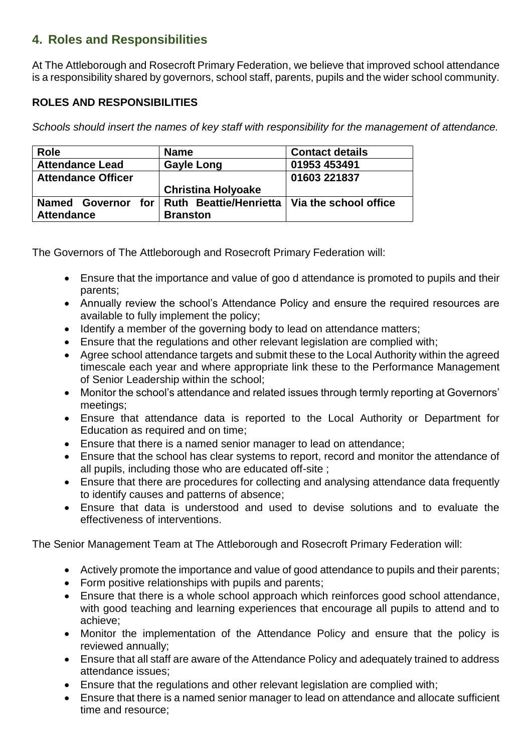### **4. Roles and Responsibilities**

At The Attleborough and Rosecroft Primary Federation, we believe that improved school attendance is a responsibility shared by governors, school staff, parents, pupils and the wider school community.

#### **ROLES AND RESPONSIBILITIES**

*Schools should insert the names of key staff with responsibility for the management of attendance.* 

| <b>Role</b>               | <b>Name</b>                   | <b>Contact details</b> |
|---------------------------|-------------------------------|------------------------|
| <b>Attendance Lead</b>    | <b>Gayle Long</b>             | 01953 453491           |
| <b>Attendance Officer</b> |                               | 01603 221837           |
|                           | <b>Christina Holyoake</b>     |                        |
| Named Governor for        | <b>Ruth Beattie/Henrietta</b> | Via the school office  |
| <b>Attendance</b>         | <b>Branston</b>               |                        |

The Governors of The Attleborough and Rosecroft Primary Federation will:

- Ensure that the importance and value of goo d attendance is promoted to pupils and their parents;
- Annually review the school's Attendance Policy and ensure the required resources are available to fully implement the policy;
- Identify a member of the governing body to lead on attendance matters;
- Ensure that the regulations and other relevant legislation are complied with;
- Agree school attendance targets and submit these to the Local Authority within the agreed timescale each year and where appropriate link these to the Performance Management of Senior Leadership within the school;
- Monitor the school's attendance and related issues through termly reporting at Governors' meetings;
- Ensure that attendance data is reported to the Local Authority or Department for Education as required and on time;
- Ensure that there is a named senior manager to lead on attendance;
- Ensure that the school has clear systems to report, record and monitor the attendance of all pupils, including those who are educated off-site ;
- Ensure that there are procedures for collecting and analysing attendance data frequently to identify causes and patterns of absence;
- Ensure that data is understood and used to devise solutions and to evaluate the effectiveness of interventions.

The Senior Management Team at The Attleborough and Rosecroft Primary Federation will:

- Actively promote the importance and value of good attendance to pupils and their parents;
- Form positive relationships with pupils and parents;
- Ensure that there is a whole school approach which reinforces good school attendance, with good teaching and learning experiences that encourage all pupils to attend and to achieve;
- Monitor the implementation of the Attendance Policy and ensure that the policy is reviewed annually;
- Ensure that all staff are aware of the Attendance Policy and adequately trained to address attendance issues;
- Ensure that the regulations and other relevant legislation are complied with;
- Ensure that there is a named senior manager to lead on attendance and allocate sufficient time and resource;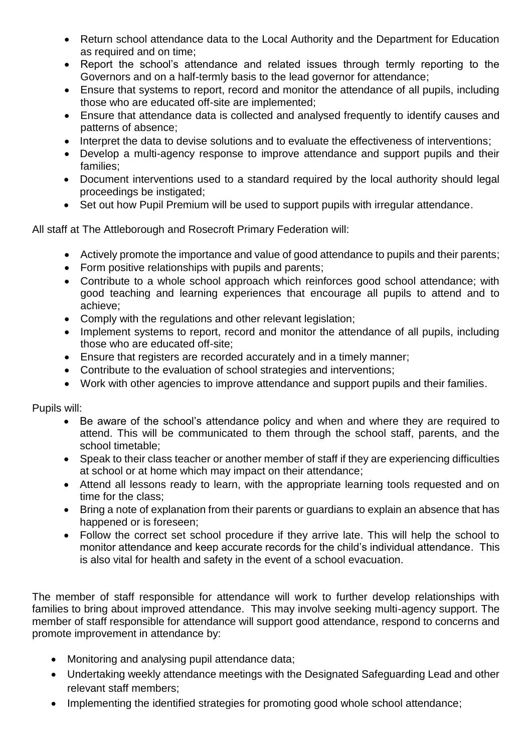- Return school attendance data to the Local Authority and the Department for Education as required and on time;
- Report the school's attendance and related issues through termly reporting to the Governors and on a half-termly basis to the lead governor for attendance;
- Ensure that systems to report, record and monitor the attendance of all pupils, including those who are educated off-site are implemented;
- Ensure that attendance data is collected and analysed frequently to identify causes and patterns of absence;
- Interpret the data to devise solutions and to evaluate the effectiveness of interventions;
- Develop a multi-agency response to improve attendance and support pupils and their families;
- Document interventions used to a standard required by the local authority should legal proceedings be instigated;
- Set out how Pupil Premium will be used to support pupils with irregular attendance.

All staff at The Attleborough and Rosecroft Primary Federation will:

- Actively promote the importance and value of good attendance to pupils and their parents;
- Form positive relationships with pupils and parents;
- Contribute to a whole school approach which reinforces good school attendance; with good teaching and learning experiences that encourage all pupils to attend and to achieve;
- Comply with the regulations and other relevant legislation;
- Implement systems to report, record and monitor the attendance of all pupils, including those who are educated off-site;
- Ensure that registers are recorded accurately and in a timely manner;
- Contribute to the evaluation of school strategies and interventions;
- Work with other agencies to improve attendance and support pupils and their families.

Pupils will:

- Be aware of the school's attendance policy and when and where they are required to attend. This will be communicated to them through the school staff, parents, and the school timetable;
- Speak to their class teacher or another member of staff if they are experiencing difficulties at school or at home which may impact on their attendance;
- Attend all lessons ready to learn, with the appropriate learning tools requested and on time for the class;
- Bring a note of explanation from their parents or guardians to explain an absence that has happened or is foreseen;
- Follow the correct set school procedure if they arrive late. This will help the school to monitor attendance and keep accurate records for the child's individual attendance. This is also vital for health and safety in the event of a school evacuation.

The member of staff responsible for attendance will work to further develop relationships with families to bring about improved attendance. This may involve seeking multi-agency support. The member of staff responsible for attendance will support good attendance, respond to concerns and promote improvement in attendance by:

- Monitoring and analysing pupil attendance data;
- Undertaking weekly attendance meetings with the Designated Safeguarding Lead and other relevant staff members;
- Implementing the identified strategies for promoting good whole school attendance;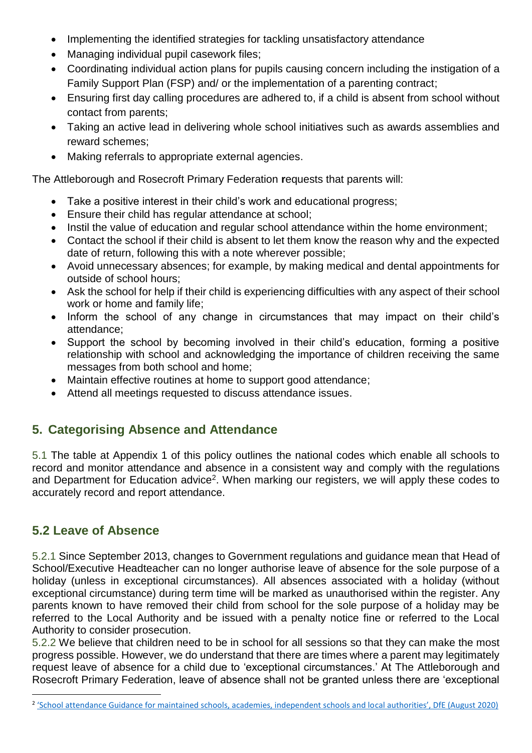- Implementing the identified strategies for tackling unsatisfactory attendance
- Managing individual pupil casework files;
- Coordinating individual action plans for pupils causing concern including the instigation of a Family Support Plan (FSP) and/ or the implementation of a parenting contract;
- Ensuring first day calling procedures are adhered to, if a child is absent from school without contact from parents;
- Taking an active lead in delivering whole school initiatives such as awards assemblies and reward schemes;
- Making referrals to appropriate external agencies.

The Attleborough and Rosecroft Primary Federation **r**equests that parents will:

- Take a positive interest in their child's work and educational progress;
- Ensure their child has regular attendance at school;
- Instil the value of education and regular school attendance within the home environment;
- Contact the school if their child is absent to let them know the reason why and the expected date of return, following this with a note wherever possible;
- Avoid unnecessary absences; for example, by making medical and dental appointments for outside of school hours;
- Ask the school for help if their child is experiencing difficulties with any aspect of their school work or home and family life;
- Inform the school of any change in circumstances that may impact on their child's attendance;
- Support the school by becoming involved in their child's education, forming a positive relationship with school and acknowledging the importance of children receiving the same messages from both school and home;
- Maintain effective routines at home to support good attendance;
- Attend all meetings requested to discuss attendance issues.

### **5. Categorising Absence and Attendance**

5.1 The table at Appendix 1 of this policy outlines the national codes which enable all schools to record and monitor attendance and absence in a consistent way and comply with the regulations and Department for Education advice<sup>2</sup>. When marking our registers, we will apply these codes to accurately record and report attendance.

### **5.2 Leave of Absence**

1

5.2.1 Since September 2013, changes to Government regulations and guidance mean that Head of School/Executive Headteacher can no longer authorise leave of absence for the sole purpose of a holiday (unless in exceptional circumstances). All absences associated with a holiday (without exceptional circumstance) during term time will be marked as unauthorised within the register. Any parents known to have removed their child from school for the sole purpose of a holiday may be referred to the Local Authority and be issued with a penalty notice fine or referred to the Local Authority to consider prosecution.

5.2.2 We believe that children need to be in school for all sessions so that they can make the most progress possible. However, we do understand that there are times where a parent may legitimately request leave of absence for a child due to 'exceptional circumstances.' At The Attleborough and Rosecroft Primary Federation, leave of absence shall not be granted unless there are 'exceptional

<sup>&</sup>lt;sup>2</sup> ['School attendance Guidance for maintained schools, academies, independent schools and local authorities', DfE \(August 2020\)](https://assets.publishing.service.gov.uk/government/uploads/system/uploads/attachment_data/file/907535/School_attendance_guidance_for_2020_to_2021_academic_year.pdf)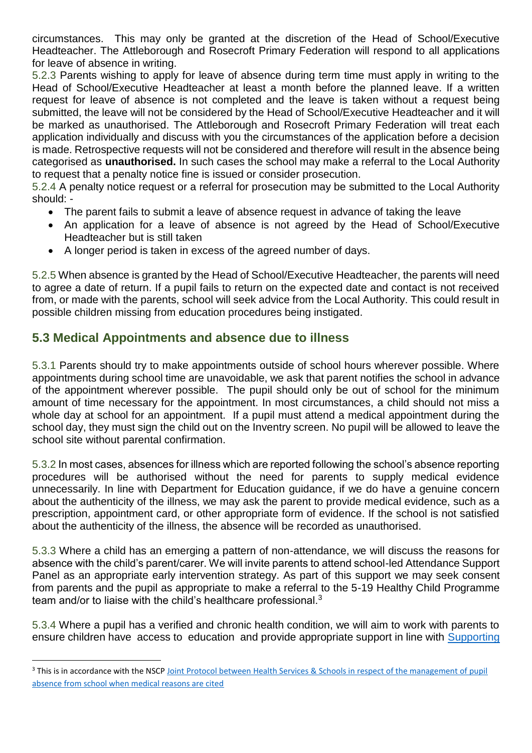circumstances. This may only be granted at the discretion of the Head of School/Executive Headteacher. The Attleborough and Rosecroft Primary Federation will respond to all applications for leave of absence in writing.

5.2.3 Parents wishing to apply for leave of absence during term time must apply in writing to the Head of School/Executive Headteacher at least a month before the planned leave. If a written request for leave of absence is not completed and the leave is taken without a request being submitted, the leave will not be considered by the Head of School/Executive Headteacher and it will be marked as unauthorised. The Attleborough and Rosecroft Primary Federation will treat each application individually and discuss with you the circumstances of the application before a decision is made. Retrospective requests will not be considered and therefore will result in the absence being categorised as **unauthorised.** In such cases the school may make a referral to the Local Authority to request that a penalty notice fine is issued or consider prosecution.

5.2.4 A penalty notice request or a referral for prosecution may be submitted to the Local Authority should: -

- The parent fails to submit a leave of absence request in advance of taking the leave
- An application for a leave of absence is not agreed by the Head of School/Executive Headteacher but is still taken
- A longer period is taken in excess of the agreed number of days.

5.2.5 When absence is granted by the Head of School/Executive Headteacher, the parents will need to agree a date of return. If a pupil fails to return on the expected date and contact is not received from, or made with the parents, school will seek advice from the Local Authority. This could result in possible children missing from education procedures being instigated.

### **5.3 Medical Appointments and absence due to illness**

1

5.3.1 Parents should try to make appointments outside of school hours wherever possible. Where appointments during school time are unavoidable, we ask that parent notifies the school in advance of the appointment wherever possible. The pupil should only be out of school for the minimum amount of time necessary for the appointment. In most circumstances, a child should not miss a whole day at school for an appointment. If a pupil must attend a medical appointment during the school day, they must sign the child out on the Inventry screen. No pupil will be allowed to leave the school site without parental confirmation.

5.3.2 In most cases, absences for illness which are reported following the school's absence reporting procedures will be authorised without the need for parents to supply medical evidence unnecessarily. In line with Department for Education guidance, if we do have a genuine concern about the authenticity of the illness, we may ask the parent to provide medical evidence, such as a prescription, appointment card, or other appropriate form of evidence. If the school is not satisfied about the authenticity of the illness, the absence will be recorded as unauthorised.

5.3.3 Where a child has an emerging a pattern of non-attendance, we will discuss the reasons for absence with the child's parent/carer. We will invite parents to attend school-led Attendance Support Panel as an appropriate early intervention strategy. As part of this support we may seek consent from parents and the pupil as appropriate to make a referral to the 5-19 Healthy Child Programme team and/or to liaise with the child's healthcare professional.<sup>3</sup>

5.3.4 Where a pupil has a verified and chronic health condition, we will aim to work with parents to ensure children have access to education and provide appropriate support in line with [Supporting](https://www.gov.uk/government/publications/supporting-pupils-at-school-with-medical-conditions--3) 

<sup>&</sup>lt;sup>3</sup> This is in accordance with the NSCP Joint Protocol between Health Services & Schools in respect of the management of pupil [absence from school when medical reasons are cited](https://www.norfolklscb.org/about/policies-procedures/5-27-joint-protocol-between-health-services-schools-in-respect-of-the-management-of-pupil-absence-from-school-when-medical-reasons-are-cited/)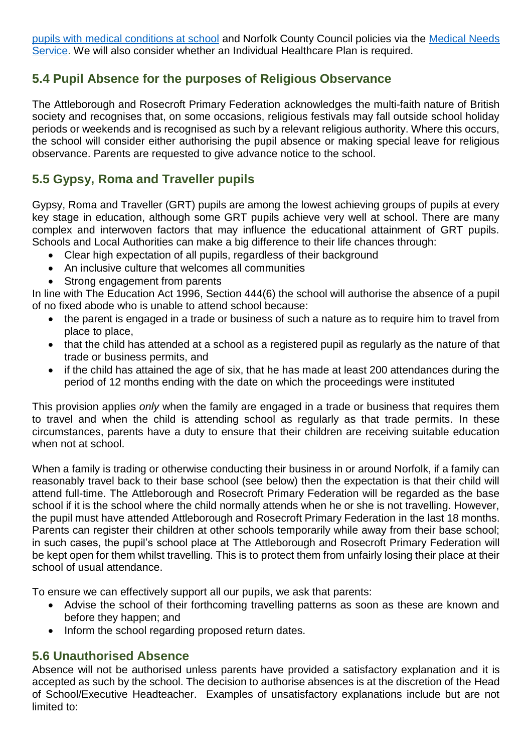[pupils with medical conditions at school](https://www.gov.uk/government/publications/supporting-pupils-at-school-with-medical-conditions--3) and Norfolk County Council policies via the [Medical Needs](https://www.schools.norfolk.gov.uk/pupil-needs/health-needs/medical-needs-service)  [Service.](https://www.schools.norfolk.gov.uk/pupil-needs/health-needs/medical-needs-service) We will also consider whether an Individual Healthcare Plan is required.

### **5.4 Pupil Absence for the purposes of Religious Observance**

The Attleborough and Rosecroft Primary Federation acknowledges the multi-faith nature of British society and recognises that, on some occasions, religious festivals may fall outside school holiday periods or weekends and is recognised as such by a relevant religious authority. Where this occurs, the school will consider either authorising the pupil absence or making special leave for religious observance. Parents are requested to give advance notice to the school.

### **5.5 Gypsy, Roma and Traveller pupils**

Gypsy, Roma and Traveller (GRT) pupils are among the lowest achieving groups of pupils at every key stage in education, although some GRT pupils achieve very well at school. There are many complex and interwoven factors that may influence the educational attainment of GRT pupils. Schools and Local Authorities can make a big difference to their life chances through:

- Clear high expectation of all pupils, regardless of their background
- An inclusive culture that welcomes all communities
- Strong engagement from parents

In line with The Education Act 1996, Section 444(6) the school will authorise the absence of a pupil of no fixed abode who is unable to attend school because:

- the parent is engaged in a trade or business of such a nature as to require him to travel from place to place,
- that the child has attended at a school as a registered pupil as regularly as the nature of that trade or business permits, and
- if the child has attained the age of six, that he has made at least 200 attendances during the period of 12 months ending with the date on which the proceedings were instituted

This provision applies *only* when the family are engaged in a trade or business that requires them to travel and when the child is attending school as regularly as that trade permits. In these circumstances, parents have a duty to ensure that their children are receiving suitable education when not at school.

When a family is trading or otherwise conducting their business in or around Norfolk, if a family can reasonably travel back to their base school (see below) then the expectation is that their child will attend full-time. The Attleborough and Rosecroft Primary Federation will be regarded as the base school if it is the school where the child normally attends when he or she is not travelling. However, the pupil must have attended Attleborough and Rosecroft Primary Federation in the last 18 months. Parents can register their children at other schools temporarily while away from their base school; in such cases, the pupil's school place at The Attleborough and Rosecroft Primary Federation will be kept open for them whilst travelling. This is to protect them from unfairly losing their place at their school of usual attendance.

To ensure we can effectively support all our pupils, we ask that parents:

- Advise the school of their forthcoming travelling patterns as soon as these are known and before they happen; and
- Inform the school regarding proposed return dates.

#### **5.6 Unauthorised Absence**

Absence will not be authorised unless parents have provided a satisfactory explanation and it is accepted as such by the school. The decision to authorise absences is at the discretion of the Head of School/Executive Headteacher. Examples of unsatisfactory explanations include but are not limited to: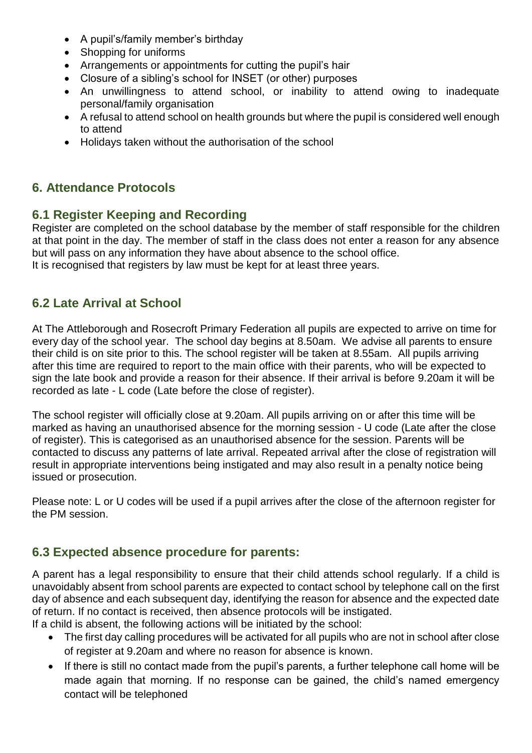- A pupil's/family member's birthday
- Shopping for uniforms
- Arrangements or appointments for cutting the pupil's hair
- Closure of a sibling's school for INSET (or other) purposes
- An unwillingness to attend school, or inability to attend owing to inadequate personal/family organisation
- A refusal to attend school on health grounds but where the pupil is considered well enough to attend
- Holidays taken without the authorisation of the school

### **6. Attendance Protocols**

#### **6.1 Register Keeping and Recording**

Register are completed on the school database by the member of staff responsible for the children at that point in the day. The member of staff in the class does not enter a reason for any absence but will pass on any information they have about absence to the school office. It is recognised that registers by law must be kept for at least three years.

### **6.2 Late Arrival at School**

At The Attleborough and Rosecroft Primary Federation all pupils are expected to arrive on time for every day of the school year. The school day begins at 8.50am. We advise all parents to ensure their child is on site prior to this. The school register will be taken at 8.55am. All pupils arriving after this time are required to report to the main office with their parents, who will be expected to sign the late book and provide a reason for their absence. If their arrival is before 9.20am it will be recorded as late - L code (Late before the close of register).

The school register will officially close at 9.20am. All pupils arriving on or after this time will be marked as having an unauthorised absence for the morning session - U code (Late after the close of register). This is categorised as an unauthorised absence for the session. Parents will be contacted to discuss any patterns of late arrival. Repeated arrival after the close of registration will result in appropriate interventions being instigated and may also result in a penalty notice being issued or prosecution.

Please note: L or U codes will be used if a pupil arrives after the close of the afternoon register for the PM session.

### **6.3 Expected absence procedure for parents:**

A parent has a legal responsibility to ensure that their child attends school regularly. If a child is unavoidably absent from school parents are expected to contact school by telephone call on the first day of absence and each subsequent day, identifying the reason for absence and the expected date of return. If no contact is received, then absence protocols will be instigated. If a child is absent, the following actions will be initiated by the school:

- The first day calling procedures will be activated for all pupils who are not in school after close of register at 9.20am and where no reason for absence is known.
- If there is still no contact made from the pupil's parents, a further telephone call home will be made again that morning. If no response can be gained, the child's named emergency contact will be telephoned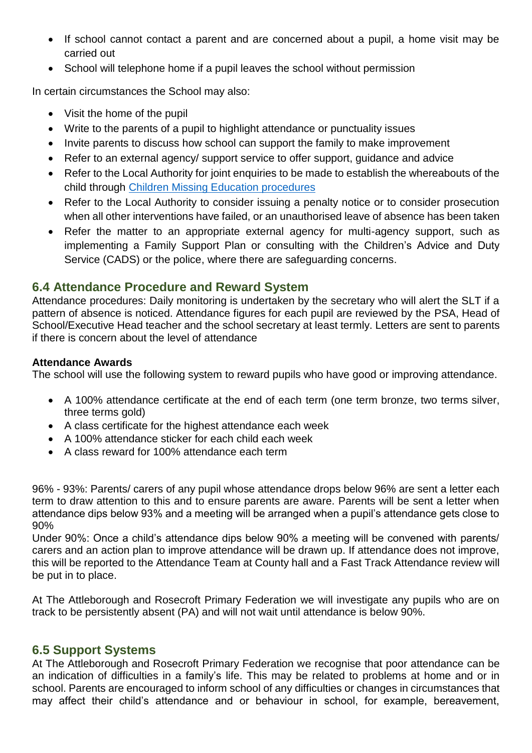- If school cannot contact a parent and are concerned about a pupil, a home visit may be carried out
- School will telephone home if a pupil leaves the school without permission

In certain circumstances the School may also:

- Visit the home of the pupil
- Write to the parents of a pupil to highlight attendance or punctuality issues
- Invite parents to discuss how school can support the family to make improvement
- Refer to an external agency/ support service to offer support, guidance and advice
- Refer to the Local Authority for joint enquiries to be made to establish the whereabouts of the child through [Children Missing Education procedures](https://www.schools.norfolk.gov.uk/pupil-safety-and-behaviour/children-missing-education/children-missing-education-policy)
- Refer to the Local Authority to consider issuing a penalty notice or to consider prosecution when all other interventions have failed, or an unauthorised leave of absence has been taken
- Refer the matter to an appropriate external agency for multi-agency support, such as implementing a Family Support Plan or consulting with the Children's Advice and Duty Service (CADS) or the police, where there are safeguarding concerns.

#### **6.4 Attendance Procedure and Reward System**

Attendance procedures: Daily monitoring is undertaken by the secretary who will alert the SLT if a pattern of absence is noticed. Attendance figures for each pupil are reviewed by the PSA. Head of School/Executive Head teacher and the school secretary at least termly. Letters are sent to parents if there is concern about the level of attendance

#### **Attendance Awards**

The school will use the following system to reward pupils who have good or improving attendance.

- A 100% attendance certificate at the end of each term (one term bronze, two terms silver, three terms gold)
- A class certificate for the highest attendance each week
- A 100% attendance sticker for each child each week
- A class reward for 100% attendance each term

96% - 93%: Parents/ carers of any pupil whose attendance drops below 96% are sent a letter each term to draw attention to this and to ensure parents are aware. Parents will be sent a letter when attendance dips below 93% and a meeting will be arranged when a pupil's attendance gets close to 90%

Under 90%: Once a child's attendance dips below 90% a meeting will be convened with parents/ carers and an action plan to improve attendance will be drawn up. If attendance does not improve, this will be reported to the Attendance Team at County hall and a Fast Track Attendance review will be put in to place.

At The Attleborough and Rosecroft Primary Federation we will investigate any pupils who are on track to be persistently absent (PA) and will not wait until attendance is below 90%.

#### **6.5 Support Systems**

At The Attleborough and Rosecroft Primary Federation we recognise that poor attendance can be an indication of difficulties in a family's life. This may be related to problems at home and or in school. Parents are encouraged to inform school of any difficulties or changes in circumstances that may affect their child's attendance and or behaviour in school, for example, bereavement,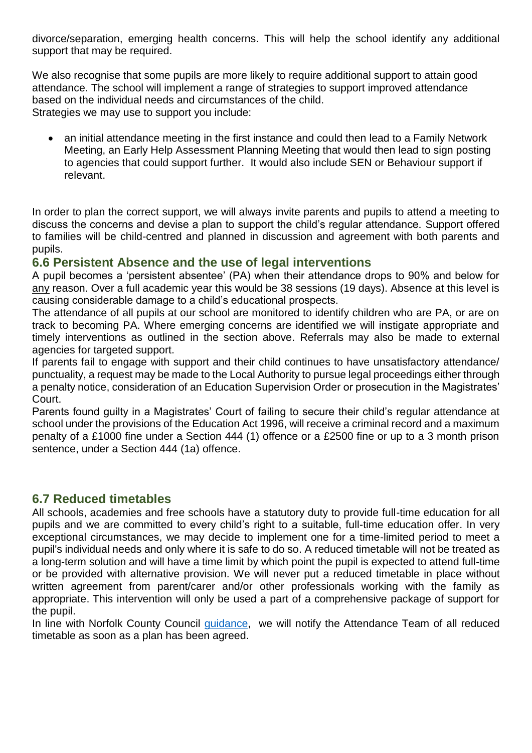divorce/separation, emerging health concerns. This will help the school identify any additional support that may be required.

We also recognise that some pupils are more likely to require additional support to attain good attendance. The school will implement a range of strategies to support improved attendance based on the individual needs and circumstances of the child. Strategies we may use to support you include:

 an initial attendance meeting in the first instance and could then lead to a Family Network Meeting, an Early Help Assessment Planning Meeting that would then lead to sign posting to agencies that could support further. It would also include SEN or Behaviour support if relevant.

In order to plan the correct support, we will always invite parents and pupils to attend a meeting to discuss the concerns and devise a plan to support the child's regular attendance. Support offered to families will be child-centred and planned in discussion and agreement with both parents and pupils.

#### **6.6 Persistent Absence and the use of legal interventions**

A pupil becomes a 'persistent absentee' (PA) when their attendance drops to 90% and below for any reason. Over a full academic year this would be 38 sessions (19 days). Absence at this level is causing considerable damage to a child's educational prospects.

The attendance of all pupils at our school are monitored to identify children who are PA, or are on track to becoming PA. Where emerging concerns are identified we will instigate appropriate and timely interventions as outlined in the section above. Referrals may also be made to external agencies for targeted support.

If parents fail to engage with support and their child continues to have unsatisfactory attendance/ punctuality, a request may be made to the Local Authority to pursue legal proceedings either through a penalty notice, consideration of an Education Supervision Order or prosecution in the Magistrates' Court.

Parents found guilty in a Magistrates' Court of failing to secure their child's regular attendance at school under the provisions of the Education Act 1996, will receive a criminal record and a maximum penalty of a £1000 fine under a Section 444 (1) offence or a £2500 fine or up to a 3 month prison sentence, under a Section 444 (1a) offence.

#### **6.7 Reduced timetables**

All schools, academies and free schools have a statutory duty to provide full-time education for all pupils and we are committed to every child's right to a suitable, full-time education offer. In very exceptional circumstances, we may decide to implement one for a time-limited period to meet a pupil's individual needs and only where it is safe to do so. A reduced timetable will not be treated as a long-term solution and will have a time limit by which point the pupil is expected to attend full-time or be provided with alternative provision. We will never put a reduced timetable in place without written agreement from parent/carer and/or other professionals working with the family as appropriate. This intervention will only be used a part of a comprehensive package of support for the pupil.

In line with Norfolk County Council quidance, we will notify the Attendance Team of all reduced timetable as soon as a plan has been agreed.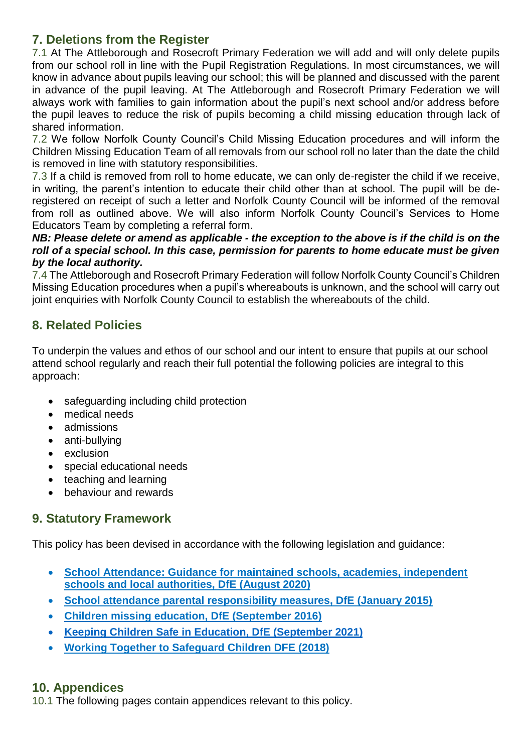### **7. Deletions from the Register**

7.1 At The Attleborough and Rosecroft Primary Federation we will add and will only delete pupils from our school roll in line with the Pupil Registration Regulations. In most circumstances, we will know in advance about pupils leaving our school; this will be planned and discussed with the parent in advance of the pupil leaving. At The Attleborough and Rosecroft Primary Federation we will always work with families to gain information about the pupil's next school and/or address before the pupil leaves to reduce the risk of pupils becoming a child missing education through lack of shared information.

7.2 We follow Norfolk County Council's Child Missing Education procedures and will inform the Children Missing Education Team of all removals from our school roll no later than the date the child is removed in line with statutory responsibilities.

7.3 If a child is removed from roll to home educate, we can only de-register the child if we receive, in writing, the parent's intention to educate their child other than at school. The pupil will be deregistered on receipt of such a letter and Norfolk County Council will be informed of the removal from roll as outlined above. We will also inform Norfolk County Council's Services to Home Educators Team by completing a referral form.

#### *NB: Please delete or amend as applicable - the exception to the above is if the child is on the roll of a special school. In this case, permission for parents to home educate must be given by the local authority.*

7.4 The Attleborough and Rosecroft Primary Federation will follow Norfolk County Council's Children Missing Education procedures when a pupil's whereabouts is unknown, and the school will carry out joint enquiries with Norfolk County Council to establish the whereabouts of the child.

### **8. Related Policies**

To underpin the values and ethos of our school and our intent to ensure that pupils at our school attend school regularly and reach their full potential the following policies are integral to this approach:

- safeguarding including child protection
- medical needs
- admissions
- anti-bullying
- exclusion
- special educational needs
- teaching and learning
- **•** behaviour and rewards

### **9. Statutory Framework**

This policy has been devised in accordance with the following legislation and guidance:

- **[School Attendance: Guidance for maintained schools, academies, independent](https://assets.publishing.service.gov.uk/government/uploads/system/uploads/attachment_data/file/907535/School_attendance_guidance_for_2020_to_2021_academic_year.pdf)  [schools and local authorities, DfE \(August 2020\)](https://assets.publishing.service.gov.uk/government/uploads/system/uploads/attachment_data/file/907535/School_attendance_guidance_for_2020_to_2021_academic_year.pdf)**
- **[School attendance parental responsibility measures, DfE \(January 2015\)](https://www.gov.uk/government/publications/parental-responsibility-measures-for-behaviour-and-attendance)**
- **[Children missing education, DfE \(September 2016\)](https://www.gov.uk/government/publications/children-missing-education)**
- **[Keeping Children Safe in Education, DfE \(September 2021\)](https://www.gov.uk/government/publications/keeping-children-safe-in-education--2)**
- **[Working Together to Safeguard Children DFE \(2018\)](https://assets.publishing.service.gov.uk/government/uploads/system/uploads/attachment_data/file/779401/Working_Together_to_Safeguard-Children.pdf)**

### **10. Appendices**

10.1 The following pages contain appendices relevant to this policy.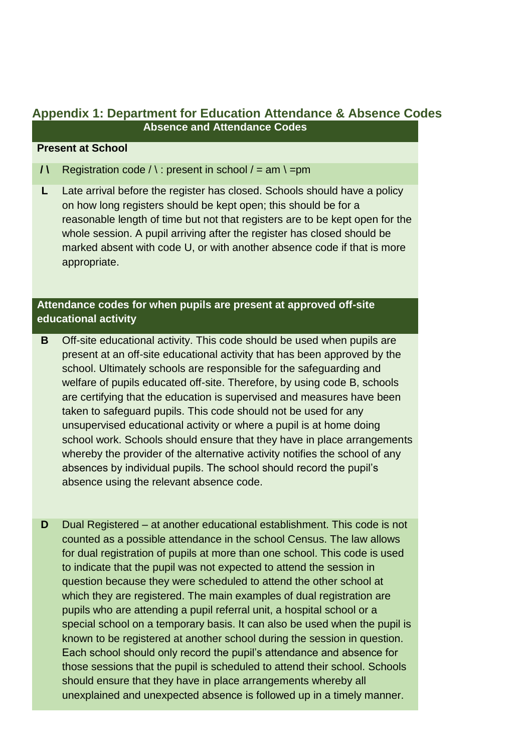#### **Appendix 1: Department for Education Attendance & Absence Codes Absence and Attendance Codes**

#### **Present at School**

- **/\** Registration code  $\land$  : present in school  $\land$  = am  $\land$  = pm
- **L** Late arrival before the register has closed. Schools should have a policy on how long registers should be kept open; this should be for a reasonable length of time but not that registers are to be kept open for the whole session. A pupil arriving after the register has closed should be marked absent with code U, or with another absence code if that is more appropriate.

#### **Attendance codes for when pupils are present at approved off-site educational activity**

- **B** Off-site educational activity. This code should be used when pupils are present at an off-site educational activity that has been approved by the school. Ultimately schools are responsible for the safeguarding and welfare of pupils educated off-site. Therefore, by using code B, schools are certifying that the education is supervised and measures have been taken to safeguard pupils. This code should not be used for any unsupervised educational activity or where a pupil is at home doing school work. Schools should ensure that they have in place arrangements whereby the provider of the alternative activity notifies the school of any absences by individual pupils. The school should record the pupil's absence using the relevant absence code.
- **D** Dual Registered at another educational establishment. This code is not counted as a possible attendance in the school Census. The law allows for dual registration of pupils at more than one school. This code is used to indicate that the pupil was not expected to attend the session in question because they were scheduled to attend the other school at which they are registered. The main examples of dual registration are pupils who are attending a pupil referral unit, a hospital school or a special school on a temporary basis. It can also be used when the pupil is known to be registered at another school during the session in question. Each school should only record the pupil's attendance and absence for those sessions that the pupil is scheduled to attend their school. Schools should ensure that they have in place arrangements whereby all unexplained and unexpected absence is followed up in a timely manner.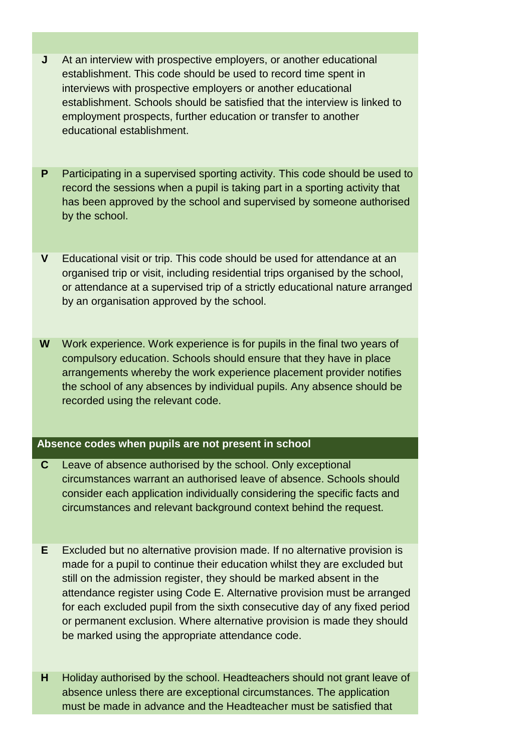- **J** At an interview with prospective employers, or another educational establishment. This code should be used to record time spent in interviews with prospective employers or another educational establishment. Schools should be satisfied that the interview is linked to employment prospects, further education or transfer to another educational establishment.
- **P** Participating in a supervised sporting activity. This code should be used to record the sessions when a pupil is taking part in a sporting activity that has been approved by the school and supervised by someone authorised by the school.
- **V** Educational visit or trip. This code should be used for attendance at an organised trip or visit, including residential trips organised by the school, or attendance at a supervised trip of a strictly educational nature arranged by an organisation approved by the school.
- **W** Work experience. Work experience is for pupils in the final two years of compulsory education. Schools should ensure that they have in place arrangements whereby the work experience placement provider notifies the school of any absences by individual pupils. Any absence should be recorded using the relevant code.

#### **Absence codes when pupils are not present in school**

- **C** Leave of absence authorised by the school. Only exceptional circumstances warrant an authorised leave of absence. Schools should consider each application individually considering the specific facts and circumstances and relevant background context behind the request.
- **E** Excluded but no alternative provision made. If no alternative provision is made for a pupil to continue their education whilst they are excluded but still on the admission register, they should be marked absent in the attendance register using Code E. Alternative provision must be arranged for each excluded pupil from the sixth consecutive day of any fixed period or permanent exclusion. Where alternative provision is made they should be marked using the appropriate attendance code.
- **H** Holiday authorised by the school. Headteachers should not grant leave of absence unless there are exceptional circumstances. The application must be made in advance and the Headteacher must be satisfied that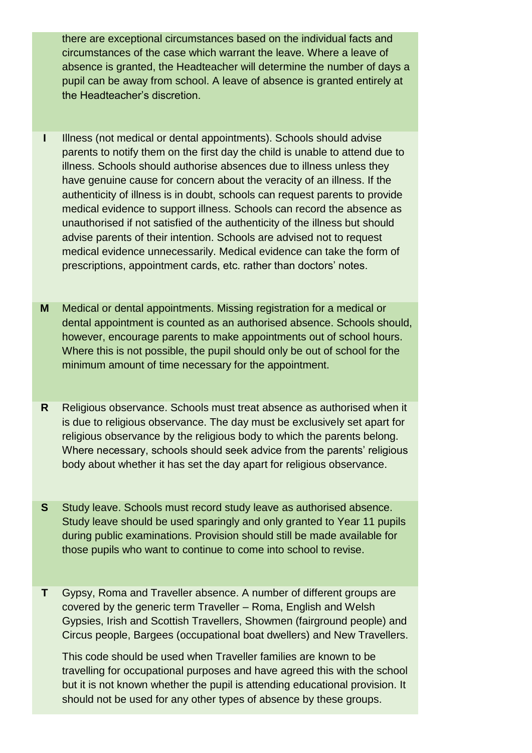there are exceptional circumstances based on the individual facts and circumstances of the case which warrant the leave. Where a leave of absence is granted, the Headteacher will determine the number of days a pupil can be away from school. A leave of absence is granted entirely at the Headteacher's discretion.

- **I** Illness (not medical or dental appointments). Schools should advise parents to notify them on the first day the child is unable to attend due to illness. Schools should authorise absences due to illness unless they have genuine cause for concern about the veracity of an illness. If the authenticity of illness is in doubt, schools can request parents to provide medical evidence to support illness. Schools can record the absence as unauthorised if not satisfied of the authenticity of the illness but should advise parents of their intention. Schools are advised not to request medical evidence unnecessarily. Medical evidence can take the form of prescriptions, appointment cards, etc. rather than doctors' notes.
- **M** Medical or dental appointments. Missing registration for a medical or dental appointment is counted as an authorised absence. Schools should, however, encourage parents to make appointments out of school hours. Where this is not possible, the pupil should only be out of school for the minimum amount of time necessary for the appointment.
- **R** Religious observance. Schools must treat absence as authorised when it is due to religious observance. The day must be exclusively set apart for religious observance by the religious body to which the parents belong. Where necessary, schools should seek advice from the parents' religious body about whether it has set the day apart for religious observance.
- **S** Study leave. Schools must record study leave as authorised absence. Study leave should be used sparingly and only granted to Year 11 pupils during public examinations. Provision should still be made available for those pupils who want to continue to come into school to revise.
- **T** Gypsy, Roma and Traveller absence. A number of different groups are covered by the generic term Traveller – Roma, English and Welsh Gypsies, Irish and Scottish Travellers, Showmen (fairground people) and Circus people, Bargees (occupational boat dwellers) and New Travellers.

This code should be used when Traveller families are known to be travelling for occupational purposes and have agreed this with the school but it is not known whether the pupil is attending educational provision. It should not be used for any other types of absence by these groups.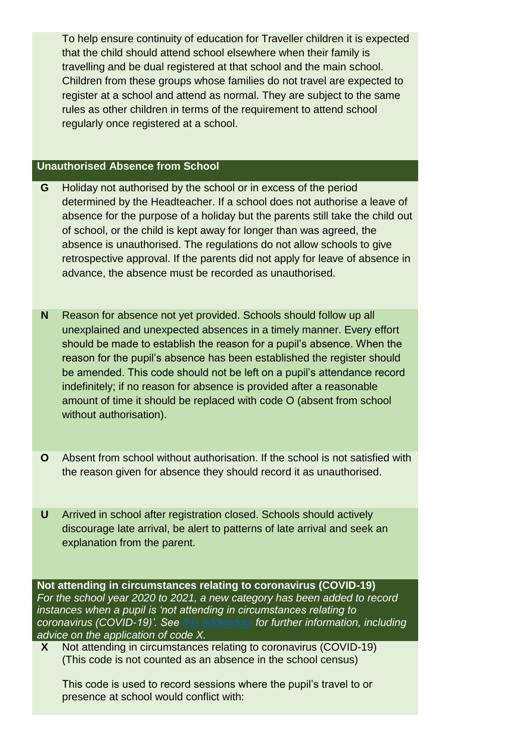To help ensure continuity of education for Traveller children it is expected that the child should attend school elsewhere when their family is travelling and be dual registered at that school and the main school. Children from these groups whose families do not travel are expected to register at a school and attend as normal. They are subject to the same rules as other children in terms of the requirement to attend school regularly once registered at a school.

#### **Unauthorised Absence from School**

- **G** Holiday not authorised by the school or in excess of the period determined by the Headteacher. If a school does not authorise a leave of absence for the purpose of a holiday but the parents still take the child out of school, or the child is kept away for longer than was agreed, the absence is unauthorised. The regulations do not allow schools to give retrospective approval. If the parents did not apply for leave of absence in advance, the absence must be recorded as unauthorised.
- **N** Reason for absence not yet provided. Schools should follow up all unexplained and unexpected absences in a timely manner. Every effort should be made to establish the reason for a pupil's absence. When the reason for the pupil's absence has been established the register should be amended. This code should not be left on a pupil's attendance record indefinitely; if no reason for absence is provided after a reasonable amount of time it should be replaced with code O (absent from school without authorisation).
- **O** Absent from school without authorisation. If the school is not satisfied with the reason given for absence they should record it as unauthorised.
- **U** Arrived in school after registration closed. Schools should actively discourage late arrival, be alert to patterns of late arrival and seek an explanation from the parent.

**Not attending in circumstances relating to coronavirus (COVID-19)** *For the school year 2020 to 2021, a new category has been added to record instances when a pupil is 'not attending in circumstances relating to coronavirus (COVID-19)'. See [this addendum](https://www.gov.uk/government/publications/school-attendance) for further information, including advice on the application of code X.*

**X** Not attending in circumstances relating to coronavirus (COVID-19) (This code is not counted as an absence in the school census)

This code is used to record sessions where the pupil's travel to or presence at school would conflict with: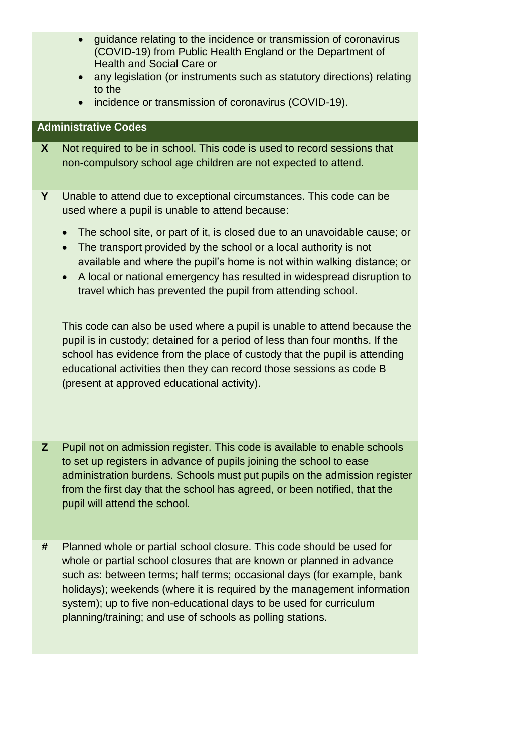- guidance relating to the incidence or transmission of coronavirus (COVID-19) from Public Health England or the Department of Health and Social Care or
- any legislation (or instruments such as statutory directions) relating to the
- incidence or transmission of coronavirus (COVID-19).

#### **Administrative Codes**

- **X** Not required to be in school. This code is used to record sessions that non-compulsory school age children are not expected to attend.
- **Y** Unable to attend due to exceptional circumstances. This code can be used where a pupil is unable to attend because:
	- The school site, or part of it, is closed due to an unavoidable cause; or
	- The transport provided by the school or a local authority is not available and where the pupil's home is not within walking distance; or
	- A local or national emergency has resulted in widespread disruption to travel which has prevented the pupil from attending school.

This code can also be used where a pupil is unable to attend because the pupil is in custody; detained for a period of less than four months. If the school has evidence from the place of custody that the pupil is attending educational activities then they can record those sessions as code B (present at approved educational activity).

- **Z** Pupil not on admission register. This code is available to enable schools to set up registers in advance of pupils joining the school to ease administration burdens. Schools must put pupils on the admission register from the first day that the school has agreed, or been notified, that the pupil will attend the school*.*
- **#** Planned whole or partial school closure. This code should be used for whole or partial school closures that are known or planned in advance such as: between terms; half terms; occasional days (for example, bank holidays); weekends (where it is required by the management information system); up to five non-educational days to be used for curriculum planning/training; and use of schools as polling stations.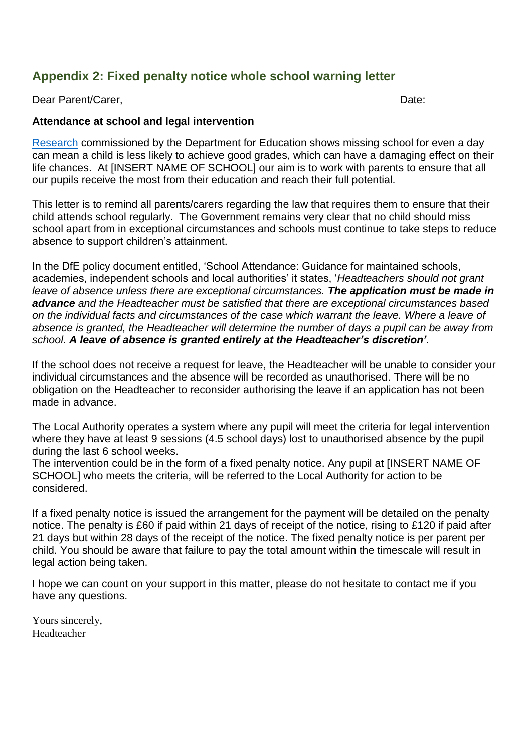### **Appendix 2: Fixed penalty notice whole school warning letter**

Dear Parent/Carer, No. 2006. The extension of the extension of the extension of the Date:

#### **Attendance at school and legal intervention**

[Research](https://www.gov.uk/government/publications/absence-and-attainment-at-key-stages-2-and-4-2013-to-2014) commissioned by the Department for Education shows missing school for even a day can mean a child is less likely to achieve good grades, which can have a damaging effect on their life chances. At [INSERT NAME OF SCHOOL] our aim is to work with parents to ensure that all our pupils receive the most from their education and reach their full potential.

This letter is to remind all parents/carers regarding the law that requires them to ensure that their child attends school regularly. The Government remains very clear that no child should miss school apart from in exceptional circumstances and schools must continue to take steps to reduce absence to support children's attainment.

In the DfE policy document entitled, 'School Attendance: Guidance for maintained schools, academies, independent schools and local authorities' it states, '*Headteachers should not grant leave of absence unless there are exceptional circumstances. The application must be made in advance and the Headteacher must be satisfied that there are exceptional circumstances based on the individual facts and circumstances of the case which warrant the leave. Where a leave of absence is granted, the Headteacher will determine the number of days a pupil can be away from school. A leave of absence is granted entirely at the Headteacher's discretion'*.

If the school does not receive a request for leave, the Headteacher will be unable to consider your individual circumstances and the absence will be recorded as unauthorised. There will be no obligation on the Headteacher to reconsider authorising the leave if an application has not been made in advance.

The Local Authority operates a system where any pupil will meet the criteria for legal intervention where they have at least 9 sessions (4.5 school days) lost to unauthorised absence by the pupil during the last 6 school weeks.

The intervention could be in the form of a fixed penalty notice. Any pupil at [INSERT NAME OF SCHOOL] who meets the criteria, will be referred to the Local Authority for action to be considered.

If a fixed penalty notice is issued the arrangement for the payment will be detailed on the penalty notice. The penalty is £60 if paid within 21 days of receipt of the notice, rising to £120 if paid after 21 days but within 28 days of the receipt of the notice. The fixed penalty notice is per parent per child. You should be aware that failure to pay the total amount within the timescale will result in legal action being taken.

I hope we can count on your support in this matter, please do not hesitate to contact me if you have any questions.

Yours sincerely, Headteacher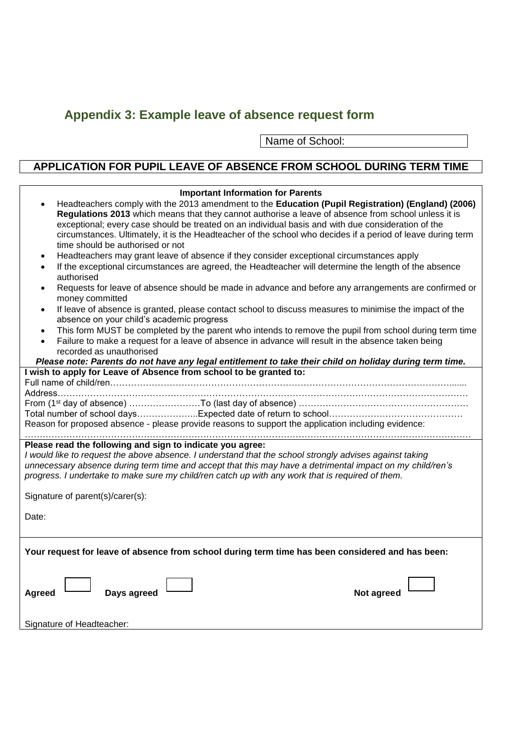# **Appendix 3: Example leave of absence request form**

Name of School:

# **APPLICATION FOR PUPIL LEAVE OF ABSENCE FROM SCHOOL DURING TERM TIME**

| <b>Important Information for Parents</b><br>Headteachers comply with the 2013 amendment to the Education (Pupil Registration) (England) (2006)<br>Regulations 2013 which means that they cannot authorise a leave of absence from school unless it is                                                                                                                                 |  |  |
|---------------------------------------------------------------------------------------------------------------------------------------------------------------------------------------------------------------------------------------------------------------------------------------------------------------------------------------------------------------------------------------|--|--|
| exceptional; every case should be treated on an individual basis and with due consideration of the<br>circumstances. Ultimately, it is the Headteacher of the school who decides if a period of leave during term<br>time should be authorised or not                                                                                                                                 |  |  |
| Headteachers may grant leave of absence if they consider exceptional circumstances apply<br>$\bullet$<br>If the exceptional circumstances are agreed, the Headteacher will determine the length of the absence<br>$\bullet$<br>authorised                                                                                                                                             |  |  |
| Requests for leave of absence should be made in advance and before any arrangements are confirmed or<br>money committed                                                                                                                                                                                                                                                               |  |  |
| If leave of absence is granted, please contact school to discuss measures to minimise the impact of the<br>$\bullet$<br>absence on your child's academic progress                                                                                                                                                                                                                     |  |  |
| This form MUST be completed by the parent who intends to remove the pupil from school during term time<br>$\bullet$<br>Failure to make a request for a leave of absence in advance will result in the absence taken being<br>$\bullet$<br>recorded as unauthorised                                                                                                                    |  |  |
| Please note: Parents do not have any legal entitlement to take their child on holiday during term time.                                                                                                                                                                                                                                                                               |  |  |
| I wish to apply for Leave of Absence from school to be granted to:                                                                                                                                                                                                                                                                                                                    |  |  |
|                                                                                                                                                                                                                                                                                                                                                                                       |  |  |
| From (1 <sup>st</sup> day of absence) ……………………To (last day of absence) …………………………………………………                                                                                                                                                                                                                                                                                            |  |  |
|                                                                                                                                                                                                                                                                                                                                                                                       |  |  |
| Reason for proposed absence - please provide reasons to support the application including evidence:                                                                                                                                                                                                                                                                                   |  |  |
| Please read the following and sign to indicate you agree:<br>I would like to request the above absence. I understand that the school strongly advises against taking<br>unnecessary absence during term time and accept that this may have a detrimental impact on my child/ren's<br>progress. I undertake to make sure my child/ren catch up with any work that is required of them. |  |  |
| Signature of parent(s)/carer(s):                                                                                                                                                                                                                                                                                                                                                      |  |  |
| Date:                                                                                                                                                                                                                                                                                                                                                                                 |  |  |
| Your request for leave of absence from school during term time has been considered and has been:                                                                                                                                                                                                                                                                                      |  |  |
| Days agreed<br>Not agreed<br>Agreed                                                                                                                                                                                                                                                                                                                                                   |  |  |
| Signature of Headteacher:                                                                                                                                                                                                                                                                                                                                                             |  |  |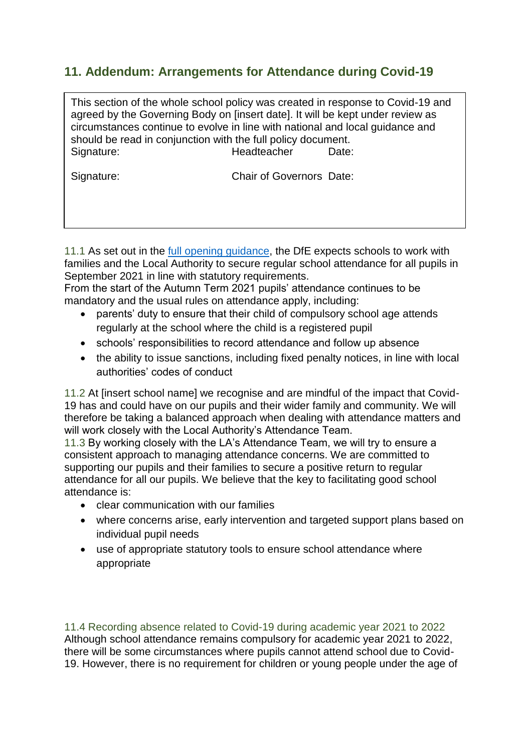### **11. Addendum: Arrangements for Attendance during Covid-19**

This section of the whole school policy was created in response to Covid-19 and agreed by the Governing Body on [insert date]. It will be kept under review as circumstances continue to evolve in line with national and local guidance and should be read in conjunction with the full policy document. Signature: **Headteacher** Date:

Signature: Chair of Governors Date:

11.1 As set out in the [full opening guidance,](https://www.gov.uk/government/publications/actions-for-schools-during-the-coronavirus-outbreak/guidance-for-full-opening-schools) the DfE expects schools to work with families and the Local Authority to secure regular school attendance for all pupils in September 2021 in line with statutory requirements.

From the start of the Autumn Term 2021 pupils' attendance continues to be mandatory and the usual rules on attendance apply, including:

- parents' duty to ensure that their child of compulsory school age attends regularly at the school where the child is a registered pupil
- schools' responsibilities to record attendance and follow up absence
- the ability to issue sanctions, including fixed penalty notices, in line with local authorities' codes of conduct

11.2 At [insert school name] we recognise and are mindful of the impact that Covid-19 has and could have on our pupils and their wider family and community. We will therefore be taking a balanced approach when dealing with attendance matters and will work closely with the Local Authority's Attendance Team.

11.3 By working closely with the LA's Attendance Team, we will try to ensure a consistent approach to managing attendance concerns. We are committed to supporting our pupils and their families to secure a positive return to regular attendance for all our pupils. We believe that the key to facilitating good school attendance is:

- clear communication with our families
- where concerns arise, early intervention and targeted support plans based on individual pupil needs
- use of appropriate statutory tools to ensure school attendance where appropriate

11.4 Recording absence related to Covid-19 during academic year 2021 to 2022 Although school attendance remains compulsory for academic year 2021 to 2022, there will be some circumstances where pupils cannot attend school due to Covid-19. However, there is no requirement for children or young people under the age of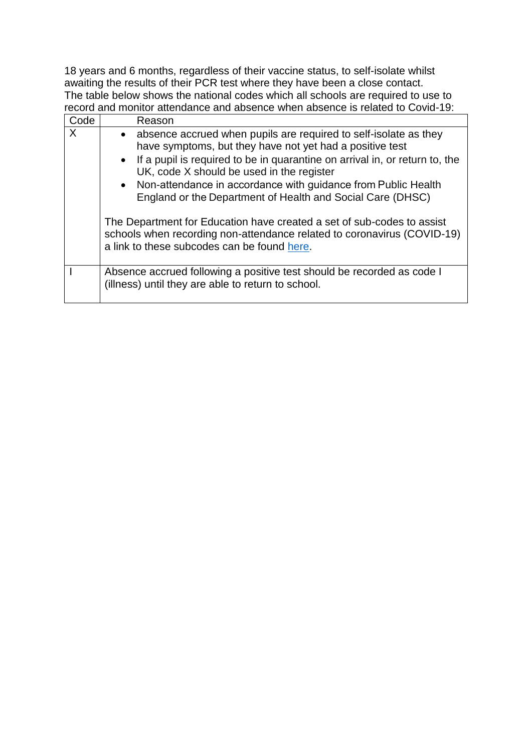18 years and 6 months, regardless of their vaccine status, to self-isolate whilst awaiting the results of their PCR test where they have been a close contact. The table below shows the national codes which all schools are required to use to record and monitor attendance and absence when absence is related to Covid-19:

| Code | Reason                                                                                                                                                                                                                                                                                                                                                                                                                                                                                                                                                                                            |
|------|---------------------------------------------------------------------------------------------------------------------------------------------------------------------------------------------------------------------------------------------------------------------------------------------------------------------------------------------------------------------------------------------------------------------------------------------------------------------------------------------------------------------------------------------------------------------------------------------------|
| X    | • absence accrued when pupils are required to self-isolate as they<br>have symptoms, but they have not yet had a positive test<br>• If a pupil is required to be in quarantine on arrival in, or return to, the<br>UK, code X should be used in the register<br>• Non-attendance in accordance with guidance from Public Health<br>England or the Department of Health and Social Care (DHSC)<br>The Department for Education have created a set of sub-codes to assist<br>schools when recording non-attendance related to coronavirus (COVID-19)<br>a link to these subcodes can be found here. |
|      |                                                                                                                                                                                                                                                                                                                                                                                                                                                                                                                                                                                                   |
|      | Absence accrued following a positive test should be recorded as code I<br>(illness) until they are able to return to school.                                                                                                                                                                                                                                                                                                                                                                                                                                                                      |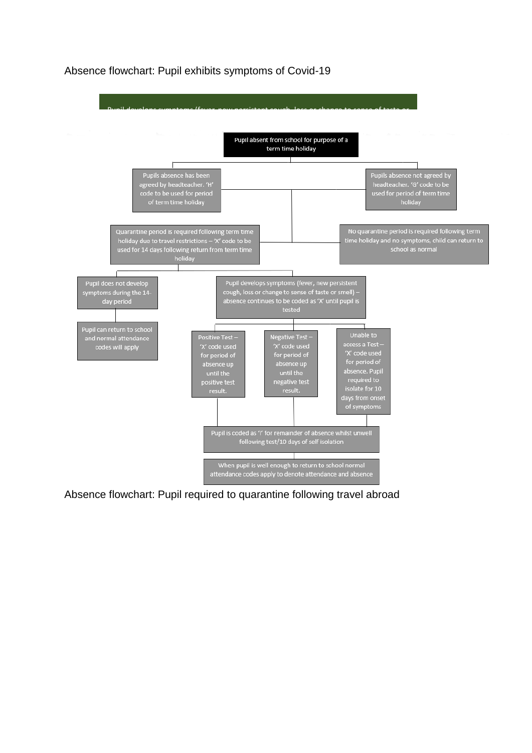#### Absence flowchart: Pupil exhibits symptoms of Covid-19



Absence flowchart: Pupil required to quarantine following travel abroad